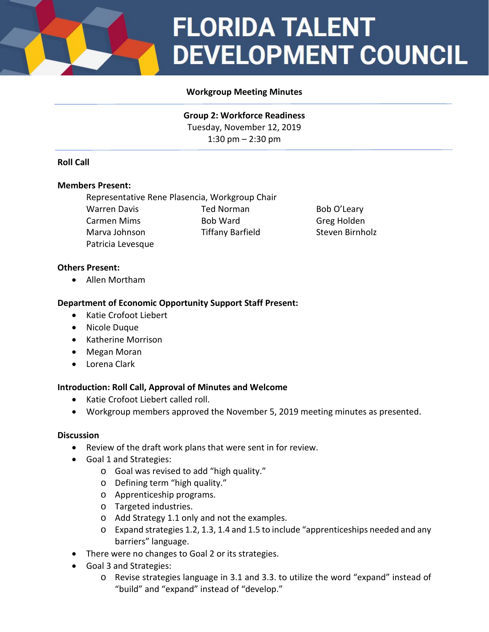# **FLORIDA TALENT DEVELOPMENT COUNCIL**

## **Workgroup Meeting Minutes**

**Group 2: Workforce Readiness** Tuesday, November 12, 2019 1:30 pm – 2:30 pm

## **Roll Call**

#### **Members Present:**

Representative Rene Plasencia, Workgroup Chair Warren Davis **Ted Norman** Bob O'Leary Carmen Mims **Bob Ward** Greg Holden Marva Johnson Tiffany Barfield Steven Birnholz Patricia Levesque

### **Others Present:**

• Allen Mortham

### **Department of Economic Opportunity Support Staff Present:**

- Katie Crofoot Liebert
- Nicole Duque
- Katherine Morrison
- Megan Moran
- Lorena Clark

#### **Introduction: Roll Call, Approval of Minutes and Welcome**

- Katie Crofoot Liebert called roll.
- Workgroup members approved the November 5, 2019 meeting minutes as presented.

#### **Discussion**

- Review of the draft work plans that were sent in for review.
- Goal 1 and Strategies:
	- o Goal was revised to add "high quality."
	- o Defining term "high quality."
	- o Apprenticeship programs.
	- o Targeted industries.
	- o Add Strategy 1.1 only and not the examples.
	- o Expand strategies 1.2, 1.3, 1.4 and 1.5 to include "apprenticeships needed and any barriers" language.
- There were no changes to Goal 2 or its strategies.
- Goal 3 and Strategies:
	- o Revise strategies language in 3.1 and 3.3. to utilize the word "expand" instead of "build" and "expand" instead of "develop."